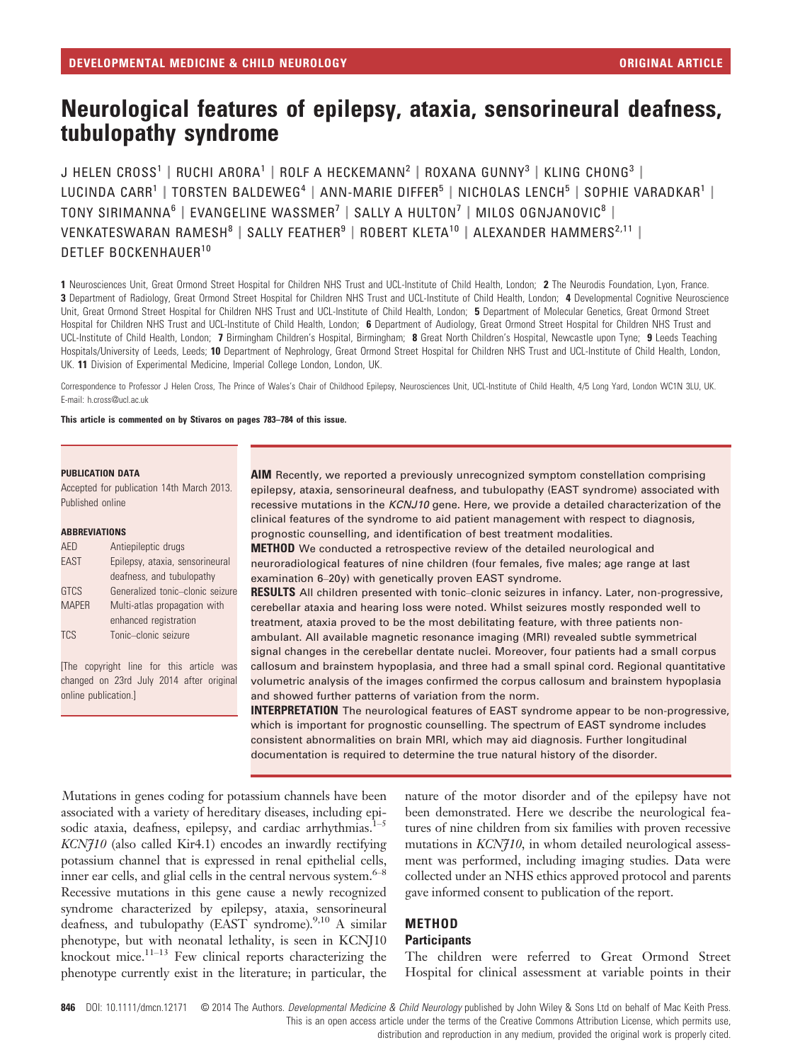# Neurological features of epilepsy, ataxia, sensorineural deafness, tubulopathy syndrome

J HELEN CROSS<sup>1</sup> | RUCHI ARORA<sup>1</sup> | ROLF A HECKEMANN<sup>2</sup> | ROXANA GUNNY<sup>3</sup> | KLING CHONG<sup>3</sup> | LUCINDA CARR<sup>1</sup> | TORSTEN BALDEWEG<sup>4</sup> | ANN-MARIE DIFFER<sup>5</sup> | NICHOLAS LENCH<sup>5</sup> | SOPHIE VARADKAR<sup>1</sup> | TONY SIRIMANNA<sup>6</sup> | EVANGELINE WASSMER<sup>7</sup> | SALLY A HULTON<sup>7</sup> | MILOS OGNJANOVIC<sup>8</sup> | VENKATESWARAN RAMESH<sup>8</sup> | SALLY FEATHER<sup>9</sup> | ROBERT KLETA<sup>10</sup> | ALEXANDER HAMMERS<sup>2,11</sup> | DETLEF BOCKENHAUFR<sup>10</sup>

1 Neurosciences Unit, Great Ormond Street Hospital for Children NHS Trust and UCL-Institute of Child Health, London; 2 The Neurodis Foundation, Lyon, France. 3 Department of Radiology, Great Ormond Street Hospital for Children NHS Trust and UCL-Institute of Child Health, London: 4 Developmental Cognitive Neuroscience Unit, Great Ormond Street Hospital for Children NHS Trust and UCL-Institute of Child Health, London; 5 Department of Molecular Genetics, Great Ormond Street Hospital for Children NHS Trust and UCL-Institute of Child Health, London; 6 Department of Audiology, Great Ormond Street Hospital for Children NHS Trust and UCL-Institute of Child Health, London; 7 Birmingham Children's Hospital, Birmingham; 8 Great North Children's Hospital, Newcastle upon Tyne; 9 Leeds Teaching Hospitals/University of Leeds, Leeds; 10 Department of Nephrology, Great Ormond Street Hospital for Children NHS Trust and UCL-Institute of Child Health, London, UK. 11 Division of Experimental Medicine, Imperial College London, London, UK.

Correspondence to Professor J Helen Cross, The Prince of Wales's Chair of Childhood Epilepsy, Neurosciences Unit, UCL-Institute of Child Health, 4/5 Long Yard, London WC1N 3LU, UK. E-mail: h.cross@ucl.ac.uk

This article is commented on by Stivaros on pages 783–784 of this issue.

#### PUBLICATION DATA

Accepted for publication 14th March 2013. Published online

#### ABBREVIATIONS

| AED          | Antiepileptic drugs              |
|--------------|----------------------------------|
| <b>EAST</b>  | Epilepsy, ataxia, sensorineural  |
|              | deafness, and tubulopathy        |
| <b>GTCS</b>  | Generalized tonic-clonic seizure |
| <b>MAPER</b> | Multi-atlas propagation with     |
|              | enhanced registration            |
| <b>TCS</b>   | Tonic-clonic seizure             |

[The copyright line for this article was changed on 23rd July 2014 after original online publication.]

AIM Recently, we reported a previously unrecognized symptom constellation comprising epilepsy, ataxia, sensorineural deafness, and tubulopathy (EAST syndrome) associated with recessive mutations in the KCNJ10 gene. Here, we provide a detailed characterization of the clinical features of the syndrome to aid patient management with respect to diagnosis, prognostic counselling, and identification of best treatment modalities.

METHOD We conducted a retrospective review of the detailed neurological and neuroradiological features of nine children (four females, five males; age range at last examination 6–20y) with genetically proven EAST syndrome.

RESULTS All children presented with tonic-clonic seizures in infancy. Later, non-progressive, cerebellar ataxia and hearing loss were noted. Whilst seizures mostly responded well to treatment, ataxia proved to be the most debilitating feature, with three patients nonambulant. All available magnetic resonance imaging (MRI) revealed subtle symmetrical signal changes in the cerebellar dentate nuclei. Moreover, four patients had a small corpus callosum and brainstem hypoplasia, and three had a small spinal cord. Regional quantitative volumetric analysis of the images confirmed the corpus callosum and brainstem hypoplasia and showed further patterns of variation from the norm.

**INTERPRETATION** The neurological features of EAST syndrome appear to be non-progressive, which is important for prognostic counselling. The spectrum of EAST syndrome includes consistent abnormalities on brain MRI, which may aid diagnosis. Further longitudinal documentation is required to determine the true natural history of the disorder.

Mutations in genes coding for potassium channels have been associated with a variety of hereditary diseases, including episodic ataxia, deafness, epilepsy, and cardiac arrhythmias.<sup>1-5</sup>  $KCN710$  (also called Kir4.1) encodes an inwardly rectifying potassium channel that is expressed in renal epithelial cells, inner ear cells, and glial cells in the central nervous system.<sup>6-8</sup> Recessive mutations in this gene cause a newly recognized syndrome characterized by epilepsy, ataxia, sensorineural deafness, and tubulopathy (EAST syndrome).<sup>9,10</sup> A similar phenotype, but with neonatal lethality, is seen in KCNJ10 knockout mice. $1^{1-13}$  Few clinical reports characterizing the phenotype currently exist in the literature; in particular, the nature of the motor disorder and of the epilepsy have not been demonstrated. Here we describe the neurological features of nine children from six families with proven recessive mutations in *KCN*710, in whom detailed neurological assessment was performed, including imaging studies. Data were collected under an NHS ethics approved protocol and parents gave informed consent to publication of the report.

# **METHOD Participants**

The children were referred to Great Ormond Street Hospital for clinical assessment at variable points in their

846 DOI: 10.1111/dmcn.12171 © 2014 The Authors. Developmental Medicine & Child Neurology published by John Wiley & Sons Ltd on behalf of Mac Keith Press. This is an open access article under the terms of the Creative Commons Attribution License, which permits use,

distribution and reproduction in any medium, provided the original work is properly cited.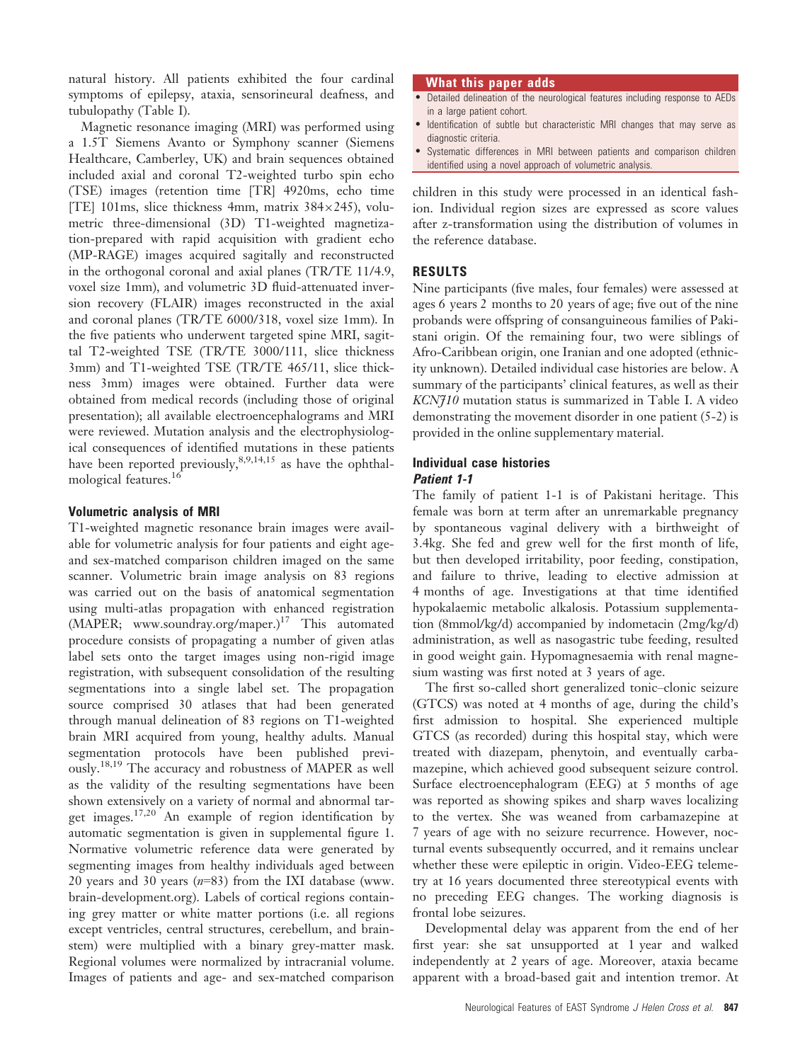natural history. All patients exhibited the four cardinal symptoms of epilepsy, ataxia, sensorineural deafness, and tubulopathy (Table I).

Magnetic resonance imaging (MRI) was performed using a 1.5T Siemens Avanto or Symphony scanner (Siemens Healthcare, Camberley, UK) and brain sequences obtained included axial and coronal T2-weighted turbo spin echo (TSE) images (retention time [TR] 4920ms, echo time [TE] 101ms, slice thickness 4mm, matrix  $384 \times 245$ , volumetric three-dimensional (3D) T1-weighted magnetization-prepared with rapid acquisition with gradient echo (MP-RAGE) images acquired sagitally and reconstructed in the orthogonal coronal and axial planes (TR/TE 11/4.9, voxel size 1mm), and volumetric 3D fluid-attenuated inversion recovery (FLAIR) images reconstructed in the axial and coronal planes (TR/TE 6000/318, voxel size 1mm). In the five patients who underwent targeted spine MRI, sagittal T2-weighted TSE (TR/TE 3000/111, slice thickness 3mm) and T1-weighted TSE (TR/TE 465/11, slice thickness 3mm) images were obtained. Further data were obtained from medical records (including those of original presentation); all available electroencephalograms and MRI were reviewed. Mutation analysis and the electrophysiological consequences of identified mutations in these patients have been reported previously,  $8,9,14,15$  as have the ophthalmological features.<sup>16</sup>

# Volumetric analysis of MRI

T1-weighted magnetic resonance brain images were available for volumetric analysis for four patients and eight ageand sex-matched comparison children imaged on the same scanner. Volumetric brain image analysis on 83 regions was carried out on the basis of anatomical segmentation using multi-atlas propagation with enhanced registration  $(MAPER;$  www.soundray.org/maper.)<sup>17</sup> This automated procedure consists of propagating a number of given atlas label sets onto the target images using non-rigid image registration, with subsequent consolidation of the resulting segmentations into a single label set. The propagation source comprised 30 atlases that had been generated through manual delineation of 83 regions on T1-weighted brain MRI acquired from young, healthy adults. Manual segmentation protocols have been published previously.18,19 The accuracy and robustness of MAPER as well as the validity of the resulting segmentations have been shown extensively on a variety of normal and abnormal target images.17,20 An example of region identification by automatic segmentation is given in supplemental figure 1. Normative volumetric reference data were generated by segmenting images from healthy individuals aged between 20 years and 30 years  $(n=83)$  from the IXI database (www. brain-development.org). Labels of cortical regions containing grey matter or white matter portions (i.e. all regions except ventricles, central structures, cerebellum, and brainstem) were multiplied with a binary grey-matter mask. Regional volumes were normalized by intracranial volume. Images of patients and age- and sex-matched comparison

#### What this paper adds

- Detailed delineation of the neurological features including response to AEDs in a large patient cohort.
- Identification of subtle but characteristic MRI changes that may serve as diagnostic criteria.
- Systematic differences in MRI between patients and comparison children identified using a novel approach of volumetric analysis.

children in this study were processed in an identical fashion. Individual region sizes are expressed as score values after z-transformation using the distribution of volumes in the reference database.

### RESULTS

Nine participants (five males, four females) were assessed at ages 6 years 2 months to 20 years of age; five out of the nine probands were offspring of consanguineous families of Pakistani origin. Of the remaining four, two were siblings of Afro-Caribbean origin, one Iranian and one adopted (ethnicity unknown). Detailed individual case histories are below. A summary of the participants' clinical features, as well as their KCNJ10 mutation status is summarized in Table I. A video demonstrating the movement disorder in one patient (5-2) is provided in the online supplementary material.

#### Individual case histories Patient 1-1

The family of patient 1-1 is of Pakistani heritage. This female was born at term after an unremarkable pregnancy by spontaneous vaginal delivery with a birthweight of 3.4kg. She fed and grew well for the first month of life, but then developed irritability, poor feeding, constipation, and failure to thrive, leading to elective admission at 4 months of age. Investigations at that time identified hypokalaemic metabolic alkalosis. Potassium supplementation (8mmol/kg/d) accompanied by indometacin (2mg/kg/d) administration, as well as nasogastric tube feeding, resulted in good weight gain. Hypomagnesaemia with renal magnesium wasting was first noted at 3 years of age.

The first so-called short generalized tonic–clonic seizure (GTCS) was noted at 4 months of age, during the child's first admission to hospital. She experienced multiple GTCS (as recorded) during this hospital stay, which were treated with diazepam, phenytoin, and eventually carbamazepine, which achieved good subsequent seizure control. Surface electroencephalogram (EEG) at 5 months of age was reported as showing spikes and sharp waves localizing to the vertex. She was weaned from carbamazepine at 7 years of age with no seizure recurrence. However, nocturnal events subsequently occurred, and it remains unclear whether these were epileptic in origin. Video-EEG telemetry at 16 years documented three stereotypical events with no preceding EEG changes. The working diagnosis is frontal lobe seizures.

Developmental delay was apparent from the end of her first year: she sat unsupported at 1 year and walked independently at 2 years of age. Moreover, ataxia became apparent with a broad-based gait and intention tremor. At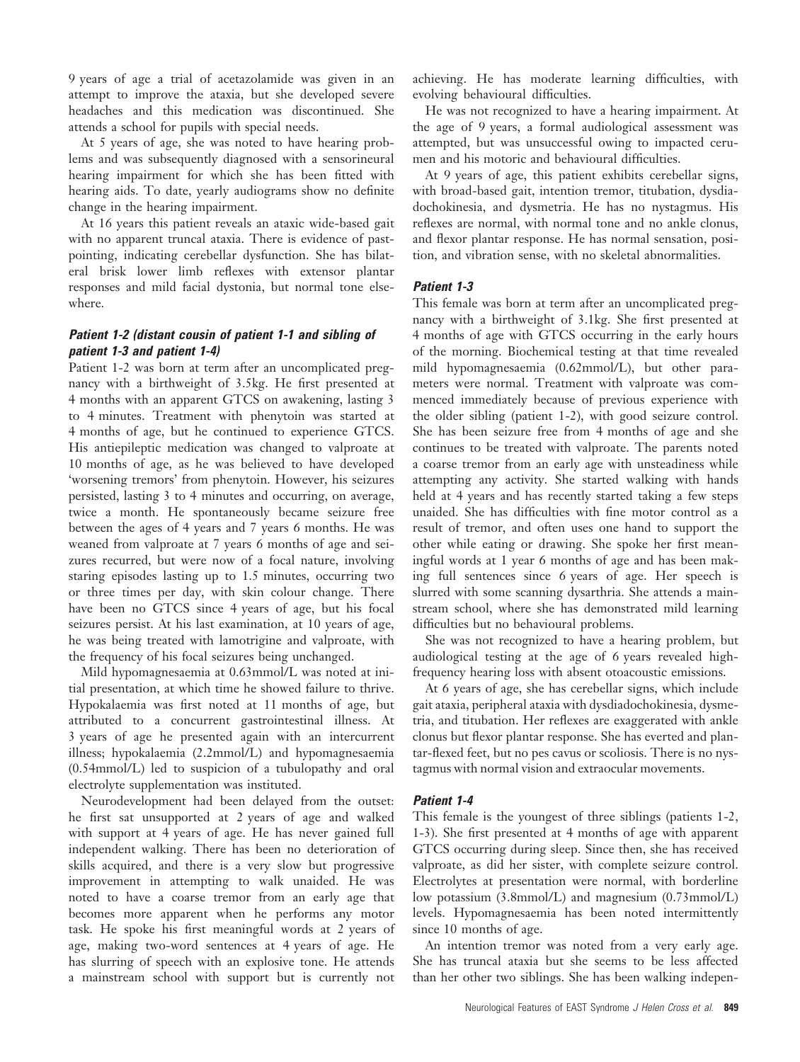9 years of age a trial of acetazolamide was given in an attempt to improve the ataxia, but she developed severe headaches and this medication was discontinued. She attends a school for pupils with special needs.

At 5 years of age, she was noted to have hearing problems and was subsequently diagnosed with a sensorineural hearing impairment for which she has been fitted with hearing aids. To date, yearly audiograms show no definite change in the hearing impairment.

At 16 years this patient reveals an ataxic wide-based gait with no apparent truncal ataxia. There is evidence of pastpointing, indicating cerebellar dysfunction. She has bilateral brisk lower limb reflexes with extensor plantar responses and mild facial dystonia, but normal tone elsewhere.

# Patient 1-2 (distant cousin of patient 1-1 and sibling of patient 1-3 and patient 1-4)

Patient 1-2 was born at term after an uncomplicated pregnancy with a birthweight of 3.5kg. He first presented at 4 months with an apparent GTCS on awakening, lasting 3 to 4 minutes. Treatment with phenytoin was started at 4 months of age, but he continued to experience GTCS. His antiepileptic medication was changed to valproate at 10 months of age, as he was believed to have developed 'worsening tremors' from phenytoin. However, his seizures persisted, lasting 3 to 4 minutes and occurring, on average, twice a month. He spontaneously became seizure free between the ages of 4 years and 7 years 6 months. He was weaned from valproate at 7 years 6 months of age and seizures recurred, but were now of a focal nature, involving staring episodes lasting up to 1.5 minutes, occurring two or three times per day, with skin colour change. There have been no GTCS since 4 years of age, but his focal seizures persist. At his last examination, at 10 years of age, he was being treated with lamotrigine and valproate, with the frequency of his focal seizures being unchanged.

Mild hypomagnesaemia at 0.63mmol/L was noted at initial presentation, at which time he showed failure to thrive. Hypokalaemia was first noted at 11 months of age, but attributed to a concurrent gastrointestinal illness. At 3 years of age he presented again with an intercurrent illness; hypokalaemia (2.2mmol/L) and hypomagnesaemia (0.54mmol/L) led to suspicion of a tubulopathy and oral electrolyte supplementation was instituted.

Neurodevelopment had been delayed from the outset: he first sat unsupported at 2 years of age and walked with support at 4 years of age. He has never gained full independent walking. There has been no deterioration of skills acquired, and there is a very slow but progressive improvement in attempting to walk unaided. He was noted to have a coarse tremor from an early age that becomes more apparent when he performs any motor task. He spoke his first meaningful words at 2 years of age, making two-word sentences at 4 years of age. He has slurring of speech with an explosive tone. He attends a mainstream school with support but is currently not

achieving. He has moderate learning difficulties, with evolving behavioural difficulties.

He was not recognized to have a hearing impairment. At the age of 9 years, a formal audiological assessment was attempted, but was unsuccessful owing to impacted cerumen and his motoric and behavioural difficulties.

At 9 years of age, this patient exhibits cerebellar signs, with broad-based gait, intention tremor, titubation, dysdiadochokinesia, and dysmetria. He has no nystagmus. His reflexes are normal, with normal tone and no ankle clonus, and flexor plantar response. He has normal sensation, position, and vibration sense, with no skeletal abnormalities.

# Patient 1-3

This female was born at term after an uncomplicated pregnancy with a birthweight of 3.1kg. She first presented at 4 months of age with GTCS occurring in the early hours of the morning. Biochemical testing at that time revealed mild hypomagnesaemia (0.62mmol/L), but other parameters were normal. Treatment with valproate was commenced immediately because of previous experience with the older sibling (patient 1-2), with good seizure control. She has been seizure free from 4 months of age and she continues to be treated with valproate. The parents noted a coarse tremor from an early age with unsteadiness while attempting any activity. She started walking with hands held at 4 years and has recently started taking a few steps unaided. She has difficulties with fine motor control as a result of tremor, and often uses one hand to support the other while eating or drawing. She spoke her first meaningful words at 1 year 6 months of age and has been making full sentences since 6 years of age. Her speech is slurred with some scanning dysarthria. She attends a mainstream school, where she has demonstrated mild learning difficulties but no behavioural problems.

She was not recognized to have a hearing problem, but audiological testing at the age of 6 years revealed highfrequency hearing loss with absent otoacoustic emissions.

At 6 years of age, she has cerebellar signs, which include gait ataxia, peripheral ataxia with dysdiadochokinesia, dysmetria, and titubation. Her reflexes are exaggerated with ankle clonus but flexor plantar response. She has everted and plantar-flexed feet, but no pes cavus or scoliosis. There is no nystagmus with normal vision and extraocular movements.

# Patient 1-4

This female is the youngest of three siblings (patients 1-2, 1-3). She first presented at 4 months of age with apparent GTCS occurring during sleep. Since then, she has received valproate, as did her sister, with complete seizure control. Electrolytes at presentation were normal, with borderline low potassium (3.8mmol/L) and magnesium (0.73mmol/L) levels. Hypomagnesaemia has been noted intermittently since 10 months of age.

An intention tremor was noted from a very early age. She has truncal ataxia but she seems to be less affected than her other two siblings. She has been walking indepen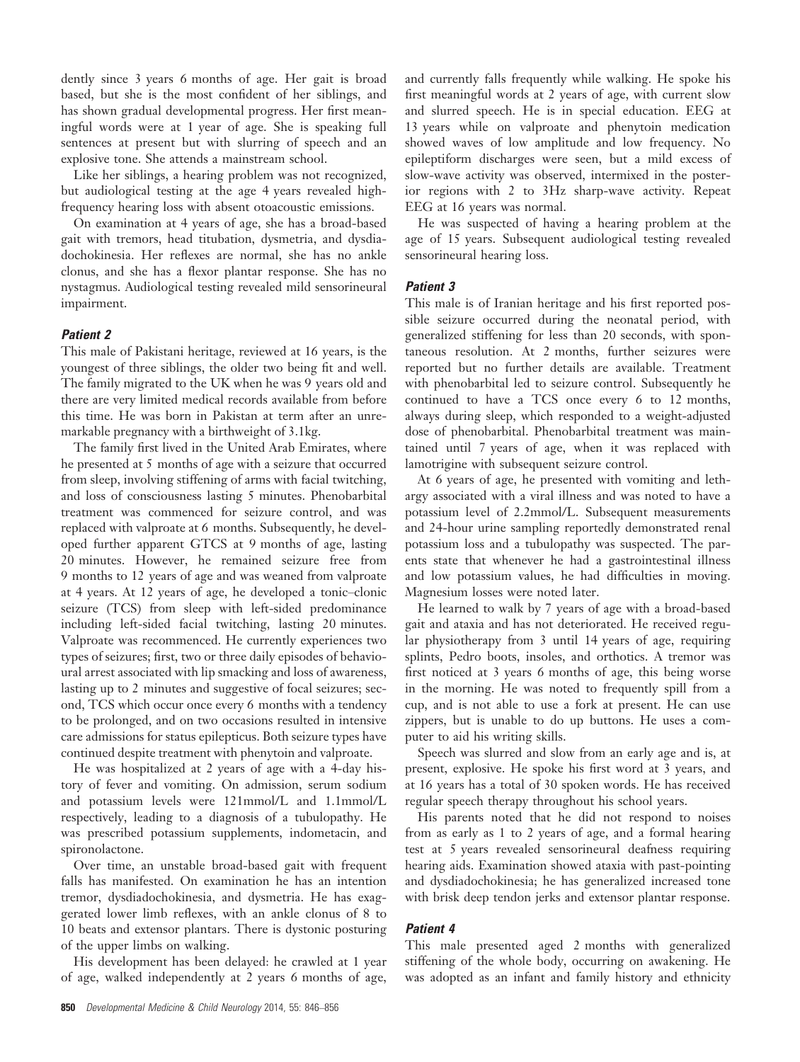dently since 3 years 6 months of age. Her gait is broad based, but she is the most confident of her siblings, and has shown gradual developmental progress. Her first meaningful words were at 1 year of age. She is speaking full sentences at present but with slurring of speech and an explosive tone. She attends a mainstream school.

Like her siblings, a hearing problem was not recognized, but audiological testing at the age 4 years revealed highfrequency hearing loss with absent otoacoustic emissions.

On examination at 4 years of age, she has a broad-based gait with tremors, head titubation, dysmetria, and dysdiadochokinesia. Her reflexes are normal, she has no ankle clonus, and she has a flexor plantar response. She has no nystagmus. Audiological testing revealed mild sensorineural impairment.

#### Patient 2

This male of Pakistani heritage, reviewed at 16 years, is the youngest of three siblings, the older two being fit and well. The family migrated to the UK when he was 9 years old and there are very limited medical records available from before this time. He was born in Pakistan at term after an unremarkable pregnancy with a birthweight of 3.1kg.

The family first lived in the United Arab Emirates, where he presented at 5 months of age with a seizure that occurred from sleep, involving stiffening of arms with facial twitching, and loss of consciousness lasting 5 minutes. Phenobarbital treatment was commenced for seizure control, and was replaced with valproate at 6 months. Subsequently, he developed further apparent GTCS at 9 months of age, lasting 20 minutes. However, he remained seizure free from 9 months to 12 years of age and was weaned from valproate at 4 years. At 12 years of age, he developed a tonic–clonic seizure (TCS) from sleep with left-sided predominance including left-sided facial twitching, lasting 20 minutes. Valproate was recommenced. He currently experiences two types of seizures; first, two or three daily episodes of behavioural arrest associated with lip smacking and loss of awareness, lasting up to 2 minutes and suggestive of focal seizures; second, TCS which occur once every 6 months with a tendency to be prolonged, and on two occasions resulted in intensive care admissions for status epilepticus. Both seizure types have continued despite treatment with phenytoin and valproate.

He was hospitalized at 2 years of age with a 4-day history of fever and vomiting. On admission, serum sodium and potassium levels were 121mmol/L and 1.1mmol/L respectively, leading to a diagnosis of a tubulopathy. He was prescribed potassium supplements, indometacin, and spironolactone.

Over time, an unstable broad-based gait with frequent falls has manifested. On examination he has an intention tremor, dysdiadochokinesia, and dysmetria. He has exaggerated lower limb reflexes, with an ankle clonus of 8 to 10 beats and extensor plantars. There is dystonic posturing of the upper limbs on walking.

His development has been delayed: he crawled at 1 year of age, walked independently at 2 years 6 months of age,

and currently falls frequently while walking. He spoke his first meaningful words at 2 years of age, with current slow and slurred speech. He is in special education. EEG at 13 years while on valproate and phenytoin medication showed waves of low amplitude and low frequency. No epileptiform discharges were seen, but a mild excess of slow-wave activity was observed, intermixed in the posterior regions with 2 to 3Hz sharp-wave activity. Repeat EEG at 16 years was normal.

He was suspected of having a hearing problem at the age of 15 years. Subsequent audiological testing revealed sensorineural hearing loss.

#### Patient 3

This male is of Iranian heritage and his first reported possible seizure occurred during the neonatal period, with generalized stiffening for less than 20 seconds, with spontaneous resolution. At 2 months, further seizures were reported but no further details are available. Treatment with phenobarbital led to seizure control. Subsequently he continued to have a TCS once every 6 to 12 months, always during sleep, which responded to a weight-adjusted dose of phenobarbital. Phenobarbital treatment was maintained until 7 years of age, when it was replaced with lamotrigine with subsequent seizure control.

At 6 years of age, he presented with vomiting and lethargy associated with a viral illness and was noted to have a potassium level of 2.2mmol/L. Subsequent measurements and 24-hour urine sampling reportedly demonstrated renal potassium loss and a tubulopathy was suspected. The parents state that whenever he had a gastrointestinal illness and low potassium values, he had difficulties in moving. Magnesium losses were noted later.

He learned to walk by 7 years of age with a broad-based gait and ataxia and has not deteriorated. He received regular physiotherapy from 3 until 14 years of age, requiring splints, Pedro boots, insoles, and orthotics. A tremor was first noticed at 3 years 6 months of age, this being worse in the morning. He was noted to frequently spill from a cup, and is not able to use a fork at present. He can use zippers, but is unable to do up buttons. He uses a computer to aid his writing skills.

Speech was slurred and slow from an early age and is, at present, explosive. He spoke his first word at 3 years, and at 16 years has a total of 30 spoken words. He has received regular speech therapy throughout his school years.

His parents noted that he did not respond to noises from as early as 1 to 2 years of age, and a formal hearing test at 5 years revealed sensorineural deafness requiring hearing aids. Examination showed ataxia with past-pointing and dysdiadochokinesia; he has generalized increased tone with brisk deep tendon jerks and extensor plantar response.

### Patient 4

This male presented aged 2 months with generalized stiffening of the whole body, occurring on awakening. He was adopted as an infant and family history and ethnicity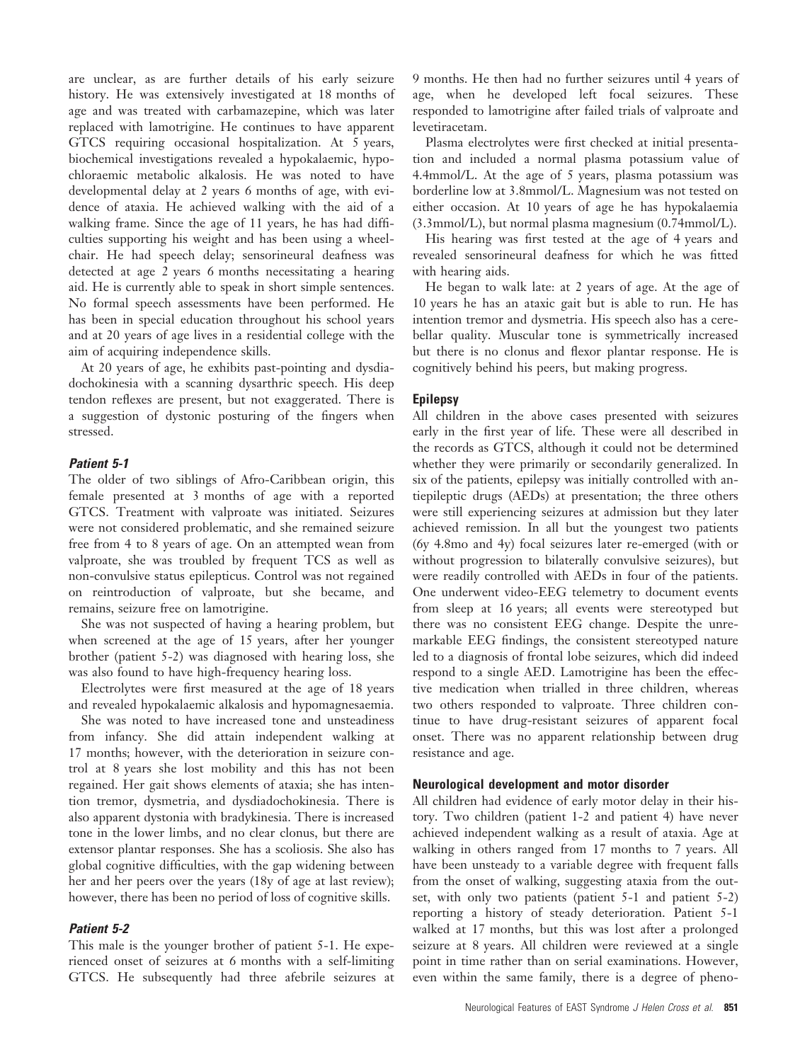are unclear, as are further details of his early seizure history. He was extensively investigated at 18 months of age and was treated with carbamazepine, which was later replaced with lamotrigine. He continues to have apparent GTCS requiring occasional hospitalization. At 5 years, biochemical investigations revealed a hypokalaemic, hypochloraemic metabolic alkalosis. He was noted to have developmental delay at 2 years 6 months of age, with evidence of ataxia. He achieved walking with the aid of a walking frame. Since the age of 11 years, he has had difficulties supporting his weight and has been using a wheelchair. He had speech delay; sensorineural deafness was detected at age 2 years 6 months necessitating a hearing aid. He is currently able to speak in short simple sentences. No formal speech assessments have been performed. He has been in special education throughout his school years and at 20 years of age lives in a residential college with the aim of acquiring independence skills.

At 20 years of age, he exhibits past-pointing and dysdiadochokinesia with a scanning dysarthric speech. His deep tendon reflexes are present, but not exaggerated. There is a suggestion of dystonic posturing of the fingers when stressed.

### Patient 5-1

The older of two siblings of Afro-Caribbean origin, this female presented at 3 months of age with a reported GTCS. Treatment with valproate was initiated. Seizures were not considered problematic, and she remained seizure free from 4 to 8 years of age. On an attempted wean from valproate, she was troubled by frequent TCS as well as non-convulsive status epilepticus. Control was not regained on reintroduction of valproate, but she became, and remains, seizure free on lamotrigine.

She was not suspected of having a hearing problem, but when screened at the age of 15 years, after her younger brother (patient 5-2) was diagnosed with hearing loss, she was also found to have high-frequency hearing loss.

Electrolytes were first measured at the age of 18 years and revealed hypokalaemic alkalosis and hypomagnesaemia.

She was noted to have increased tone and unsteadiness from infancy. She did attain independent walking at 17 months; however, with the deterioration in seizure control at 8 years she lost mobility and this has not been regained. Her gait shows elements of ataxia; she has intention tremor, dysmetria, and dysdiadochokinesia. There is also apparent dystonia with bradykinesia. There is increased tone in the lower limbs, and no clear clonus, but there are extensor plantar responses. She has a scoliosis. She also has global cognitive difficulties, with the gap widening between her and her peers over the years (18y of age at last review); however, there has been no period of loss of cognitive skills.

# Patient 5-2

This male is the younger brother of patient 5-1. He experienced onset of seizures at 6 months with a self-limiting GTCS. He subsequently had three afebrile seizures at 9 months. He then had no further seizures until 4 years of age, when he developed left focal seizures. These responded to lamotrigine after failed trials of valproate and levetiracetam.

Plasma electrolytes were first checked at initial presentation and included a normal plasma potassium value of 4.4mmol/L. At the age of 5 years, plasma potassium was borderline low at 3.8mmol/L. Magnesium was not tested on either occasion. At 10 years of age he has hypokalaemia (3.3mmol/L), but normal plasma magnesium (0.74mmol/L).

His hearing was first tested at the age of 4 years and revealed sensorineural deafness for which he was fitted with hearing aids.

He began to walk late: at 2 years of age. At the age of 10 years he has an ataxic gait but is able to run. He has intention tremor and dysmetria. His speech also has a cerebellar quality. Muscular tone is symmetrically increased but there is no clonus and flexor plantar response. He is cognitively behind his peers, but making progress.

### Epilepsy

All children in the above cases presented with seizures early in the first year of life. These were all described in the records as GTCS, although it could not be determined whether they were primarily or secondarily generalized. In six of the patients, epilepsy was initially controlled with antiepileptic drugs (AEDs) at presentation; the three others were still experiencing seizures at admission but they later achieved remission. In all but the youngest two patients (6y 4.8mo and 4y) focal seizures later re-emerged (with or without progression to bilaterally convulsive seizures), but were readily controlled with AEDs in four of the patients. One underwent video-EEG telemetry to document events from sleep at 16 years; all events were stereotyped but there was no consistent EEG change. Despite the unremarkable EEG findings, the consistent stereotyped nature led to a diagnosis of frontal lobe seizures, which did indeed respond to a single AED. Lamotrigine has been the effective medication when trialled in three children, whereas two others responded to valproate. Three children continue to have drug-resistant seizures of apparent focal onset. There was no apparent relationship between drug resistance and age.

#### Neurological development and motor disorder

All children had evidence of early motor delay in their history. Two children (patient 1-2 and patient 4) have never achieved independent walking as a result of ataxia. Age at walking in others ranged from 17 months to 7 years. All have been unsteady to a variable degree with frequent falls from the onset of walking, suggesting ataxia from the outset, with only two patients (patient 5-1 and patient 5-2) reporting a history of steady deterioration. Patient 5-1 walked at 17 months, but this was lost after a prolonged seizure at 8 years. All children were reviewed at a single point in time rather than on serial examinations. However, even within the same family, there is a degree of pheno-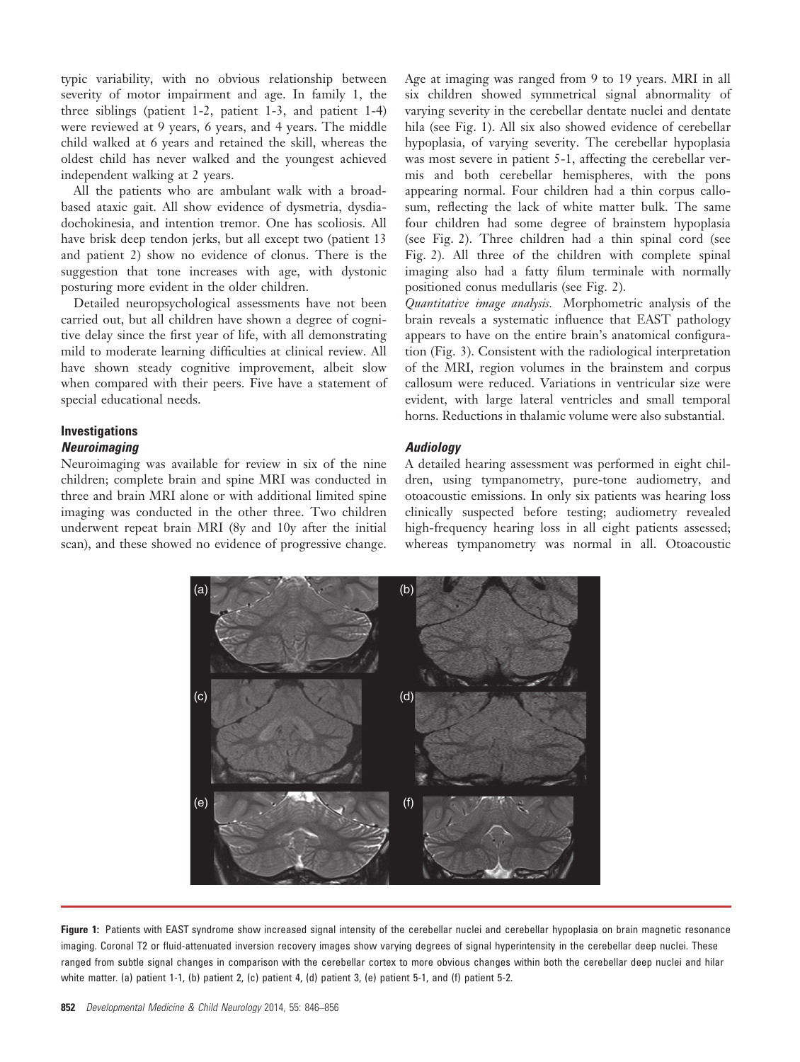typic variability, with no obvious relationship between severity of motor impairment and age. In family 1, the three siblings (patient 1-2, patient 1-3, and patient 1-4) were reviewed at 9 years, 6 years, and 4 years. The middle child walked at 6 years and retained the skill, whereas the oldest child has never walked and the youngest achieved independent walking at 2 years.

All the patients who are ambulant walk with a broadbased ataxic gait. All show evidence of dysmetria, dysdiadochokinesia, and intention tremor. One has scoliosis. All have brisk deep tendon jerks, but all except two (patient 13 and patient 2) show no evidence of clonus. There is the suggestion that tone increases with age, with dystonic posturing more evident in the older children.

Detailed neuropsychological assessments have not been carried out, but all children have shown a degree of cognitive delay since the first year of life, with all demonstrating mild to moderate learning difficulties at clinical review. All have shown steady cognitive improvement, albeit slow when compared with their peers. Five have a statement of special educational needs.

# Investigations

# **Neuroimaging**

Neuroimaging was available for review in six of the nine children; complete brain and spine MRI was conducted in three and brain MRI alone or with additional limited spine imaging was conducted in the other three. Two children underwent repeat brain MRI (8y and 10y after the initial scan), and these showed no evidence of progressive change. Age at imaging was ranged from 9 to 19 years. MRI in all six children showed symmetrical signal abnormality of varying severity in the cerebellar dentate nuclei and dentate hila (see Fig. 1). All six also showed evidence of cerebellar hypoplasia, of varying severity. The cerebellar hypoplasia was most severe in patient 5-1, affecting the cerebellar vermis and both cerebellar hemispheres, with the pons appearing normal. Four children had a thin corpus callosum, reflecting the lack of white matter bulk. The same four children had some degree of brainstem hypoplasia (see Fig. 2). Three children had a thin spinal cord (see Fig. 2). All three of the children with complete spinal imaging also had a fatty filum terminale with normally positioned conus medullaris (see Fig. 2).

Quantitative image analysis. Morphometric analysis of the brain reveals a systematic influence that EAST pathology appears to have on the entire brain's anatomical configuration (Fig. 3). Consistent with the radiological interpretation of the MRI, region volumes in the brainstem and corpus callosum were reduced. Variations in ventricular size were evident, with large lateral ventricles and small temporal horns. Reductions in thalamic volume were also substantial.

# **Audiology**

A detailed hearing assessment was performed in eight children, using tympanometry, pure-tone audiometry, and otoacoustic emissions. In only six patients was hearing loss clinically suspected before testing; audiometry revealed high-frequency hearing loss in all eight patients assessed; whereas tympanometry was normal in all. Otoacoustic



Figure 1: Patients with EAST syndrome show increased signal intensity of the cerebellar nuclei and cerebellar hypoplasia on brain magnetic resonance imaging. Coronal T2 or fluid-attenuated inversion recovery images show varying degrees of signal hyperintensity in the cerebellar deep nuclei. These ranged from subtle signal changes in comparison with the cerebellar cortex to more obvious changes within both the cerebellar deep nuclei and hilar white matter. (a) patient 1-1, (b) patient 2, (c) patient 4, (d) patient 3, (e) patient 5-1, and (f) patient 5-2.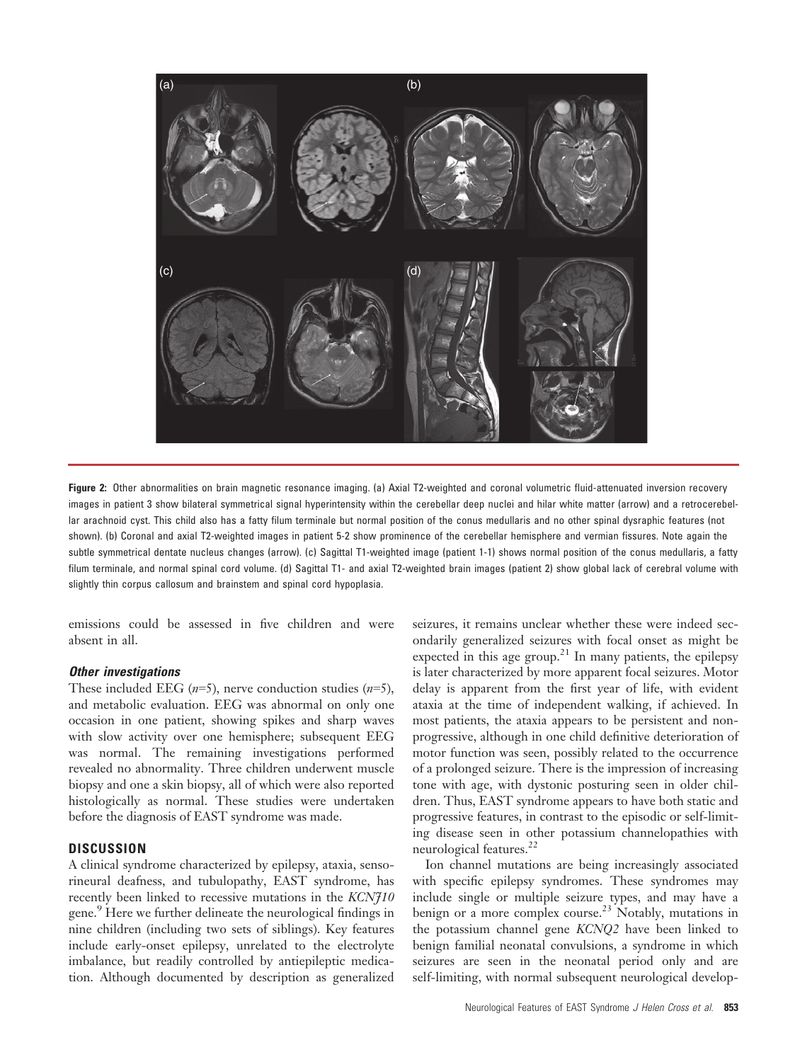

Figure 2: Other abnormalities on brain magnetic resonance imaging. (a) Axial T2-weighted and coronal volumetric fluid-attenuated inversion recovery images in patient 3 show bilateral symmetrical signal hyperintensity within the cerebellar deep nuclei and hilar white matter (arrow) and a retrocerebellar arachnoid cyst. This child also has a fatty filum terminale but normal position of the conus medullaris and no other spinal dysraphic features (not shown). (b) Coronal and axial T2-weighted images in patient 5-2 show prominence of the cerebellar hemisphere and vermian fissures. Note again the subtle symmetrical dentate nucleus changes (arrow). (c) Sagittal T1-weighted image (patient 1-1) shows normal position of the conus medullaris, a fatty filum terminale, and normal spinal cord volume. (d) Sagittal T1- and axial T2-weighted brain images (patient 2) show global lack of cerebral volume with slightly thin corpus callosum and brainstem and spinal cord hypoplasia.

emissions could be assessed in five children and were absent in all.

#### Other investigations

These included EEG  $(n=5)$ , nerve conduction studies  $(n=5)$ , and metabolic evaluation. EEG was abnormal on only one occasion in one patient, showing spikes and sharp waves with slow activity over one hemisphere; subsequent EEG was normal. The remaining investigations performed revealed no abnormality. Three children underwent muscle biopsy and one a skin biopsy, all of which were also reported histologically as normal. These studies were undertaken before the diagnosis of EAST syndrome was made.

### **DISCUSSION**

A clinical syndrome characterized by epilepsy, ataxia, sensorineural deafness, and tubulopathy, EAST syndrome, has recently been linked to recessive mutations in the KCNJ10 gene.9 Here we further delineate the neurological findings in nine children (including two sets of siblings). Key features include early-onset epilepsy, unrelated to the electrolyte imbalance, but readily controlled by antiepileptic medication. Although documented by description as generalized seizures, it remains unclear whether these were indeed secondarily generalized seizures with focal onset as might be expected in this age group.<sup>21</sup> In many patients, the epilepsy is later characterized by more apparent focal seizures. Motor delay is apparent from the first year of life, with evident ataxia at the time of independent walking, if achieved. In most patients, the ataxia appears to be persistent and nonprogressive, although in one child definitive deterioration of motor function was seen, possibly related to the occurrence of a prolonged seizure. There is the impression of increasing tone with age, with dystonic posturing seen in older children. Thus, EAST syndrome appears to have both static and progressive features, in contrast to the episodic or self-limiting disease seen in other potassium channelopathies with neurological features.<sup>22</sup>

Ion channel mutations are being increasingly associated with specific epilepsy syndromes. These syndromes may include single or multiple seizure types, and may have a benign or a more complex course.<sup>23</sup> Notably, mutations in the potassium channel gene KCNQ2 have been linked to benign familial neonatal convulsions, a syndrome in which seizures are seen in the neonatal period only and are self-limiting, with normal subsequent neurological develop-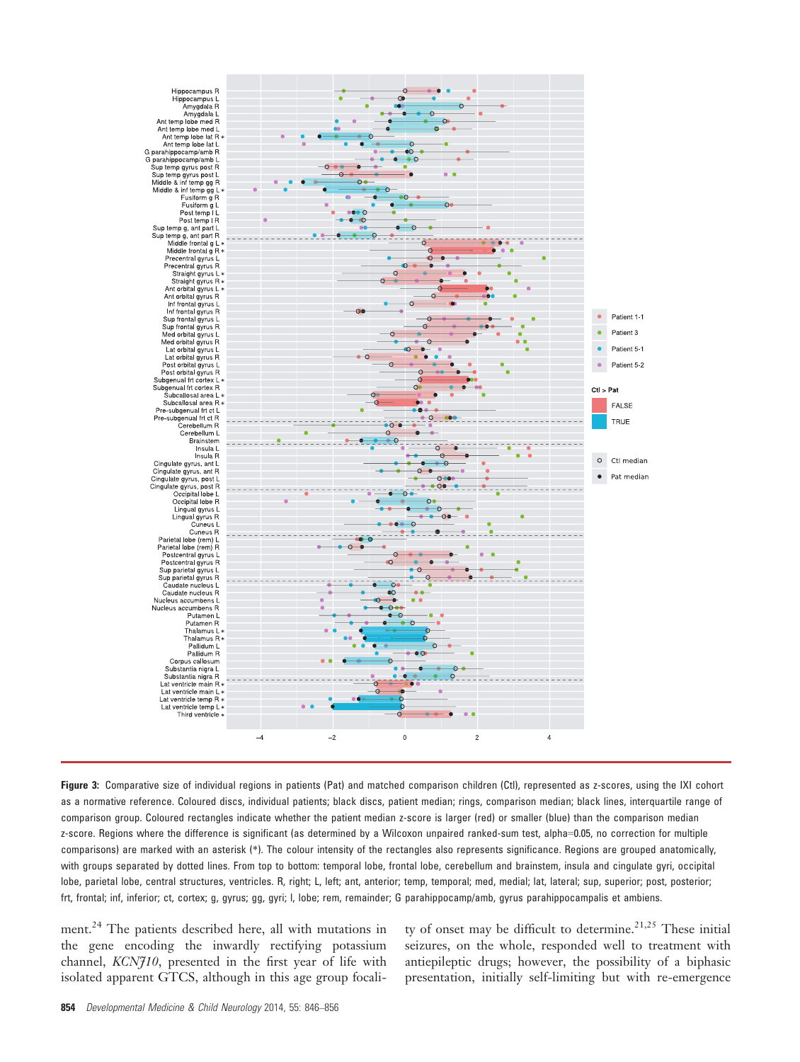

Figure 3: Comparative size of individual regions in patients (Pat) and matched comparison children (Ctl), represented as z-scores, using the IXI cohort as a normative reference. Coloured discs, individual patients; black discs, patient median; rings, comparison median; black lines, interquartile range of comparison group. Coloured rectangles indicate whether the patient median z-score is larger (red) or smaller (blue) than the comparison median z-score. Regions where the difference is significant (as determined by a Wilcoxon unpaired ranked-sum test, alpha=0.05, no correction for multiple comparisons) are marked with an asterisk (\*). The colour intensity of the rectangles also represents significance. Regions are grouped anatomically, with groups separated by dotted lines. From top to bottom: temporal lobe, frontal lobe, cerebellum and brainstem, insula and cingulate gyri, occipital lobe, parietal lobe, central structures, ventricles. R, right; L, left; ant, anterior; temp, temporal; med, medial; lat, lateral; sup, superior; post, posterior; frt, frontal; inf, inferior; ct, cortex; g, gyrus; gg, gyri; l, lobe; rem, remainder; G parahippocamp/amb, gyrus parahippocampalis et ambiens.

ment.<sup>24</sup> The patients described here, all with mutations in the gene encoding the inwardly rectifying potassium channel, KCNJ10, presented in the first year of life with isolated apparent GTCS, although in this age group focality of onset may be difficult to determine.<sup>21,25</sup> These initial seizures, on the whole, responded well to treatment with antiepileptic drugs; however, the possibility of a biphasic presentation, initially self-limiting but with re-emergence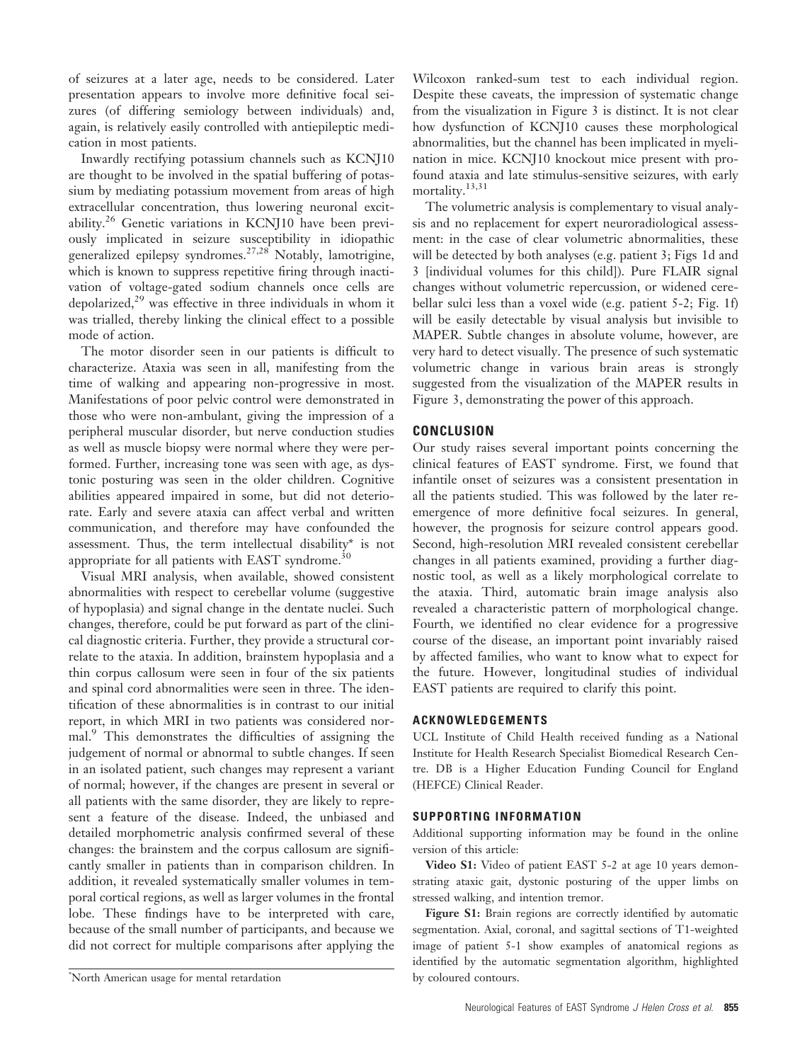of seizures at a later age, needs to be considered. Later presentation appears to involve more definitive focal seizures (of differing semiology between individuals) and, again, is relatively easily controlled with antiepileptic medication in most patients.

Inwardly rectifying potassium channels such as KCNJ10 are thought to be involved in the spatial buffering of potassium by mediating potassium movement from areas of high extracellular concentration, thus lowering neuronal excitability.<sup>26</sup> Genetic variations in KCNJ10 have been previously implicated in seizure susceptibility in idiopathic generalized epilepsy syndromes.27,28 Notably, lamotrigine, which is known to suppress repetitive firing through inactivation of voltage-gated sodium channels once cells are depolarized,<sup>29</sup> was effective in three individuals in whom it was trialled, thereby linking the clinical effect to a possible mode of action.

The motor disorder seen in our patients is difficult to characterize. Ataxia was seen in all, manifesting from the time of walking and appearing non-progressive in most. Manifestations of poor pelvic control were demonstrated in those who were non-ambulant, giving the impression of a peripheral muscular disorder, but nerve conduction studies as well as muscle biopsy were normal where they were performed. Further, increasing tone was seen with age, as dystonic posturing was seen in the older children. Cognitive abilities appeared impaired in some, but did not deteriorate. Early and severe ataxia can affect verbal and written communication, and therefore may have confounded the assessment. Thus, the term intellectual disability\* is not appropriate for all patients with EAST syndrome.<sup>30</sup>

Visual MRI analysis, when available, showed consistent abnormalities with respect to cerebellar volume (suggestive of hypoplasia) and signal change in the dentate nuclei. Such changes, therefore, could be put forward as part of the clinical diagnostic criteria. Further, they provide a structural correlate to the ataxia. In addition, brainstem hypoplasia and a thin corpus callosum were seen in four of the six patients and spinal cord abnormalities were seen in three. The identification of these abnormalities is in contrast to our initial report, in which MRI in two patients was considered normal.<sup>9</sup> This demonstrates the difficulties of assigning the judgement of normal or abnormal to subtle changes. If seen in an isolated patient, such changes may represent a variant of normal; however, if the changes are present in several or all patients with the same disorder, they are likely to represent a feature of the disease. Indeed, the unbiased and detailed morphometric analysis confirmed several of these changes: the brainstem and the corpus callosum are significantly smaller in patients than in comparison children. In addition, it revealed systematically smaller volumes in temporal cortical regions, as well as larger volumes in the frontal lobe. These findings have to be interpreted with care, because of the small number of participants, and because we did not correct for multiple comparisons after applying the

Wilcoxon ranked-sum test to each individual region. Despite these caveats, the impression of systematic change from the visualization in Figure 3 is distinct. It is not clear how dysfunction of KCNJ10 causes these morphological abnormalities, but the channel has been implicated in myelination in mice. KCNJ10 knockout mice present with profound ataxia and late stimulus-sensitive seizures, with early mortality.<sup>13,31</sup>

The volumetric analysis is complementary to visual analysis and no replacement for expert neuroradiological assessment: in the case of clear volumetric abnormalities, these will be detected by both analyses (e.g. patient 3; Figs 1d and 3 [individual volumes for this child]). Pure FLAIR signal changes without volumetric repercussion, or widened cerebellar sulci less than a voxel wide (e.g. patient 5-2; Fig. 1f) will be easily detectable by visual analysis but invisible to MAPER. Subtle changes in absolute volume, however, are very hard to detect visually. The presence of such systematic volumetric change in various brain areas is strongly suggested from the visualization of the MAPER results in Figure 3, demonstrating the power of this approach.

# **CONCLUSION**

Our study raises several important points concerning the clinical features of EAST syndrome. First, we found that infantile onset of seizures was a consistent presentation in all the patients studied. This was followed by the later reemergence of more definitive focal seizures. In general, however, the prognosis for seizure control appears good. Second, high-resolution MRI revealed consistent cerebellar changes in all patients examined, providing a further diagnostic tool, as well as a likely morphological correlate to the ataxia. Third, automatic brain image analysis also revealed a characteristic pattern of morphological change. Fourth, we identified no clear evidence for a progressive course of the disease, an important point invariably raised by affected families, who want to know what to expect for the future. However, longitudinal studies of individual EAST patients are required to clarify this point.

#### ACKNOWLEDGEMENTS

UCL Institute of Child Health received funding as a National Institute for Health Research Specialist Biomedical Research Centre. DB is a Higher Education Funding Council for England (HEFCE) Clinical Reader.

#### SUPPORTING INFORMATION

Additional supporting information may be found in the online version of this article:

Video S1: Video of patient EAST 5-2 at age 10 years demonstrating ataxic gait, dystonic posturing of the upper limbs on stressed walking, and intention tremor.

Figure S1: Brain regions are correctly identified by automatic segmentation. Axial, coronal, and sagittal sections of T1-weighted image of patient 5-1 show examples of anatomical regions as identified by the automatic segmentation algorithm, highlighted

by coloured contours. \* North American usage for mental retardation